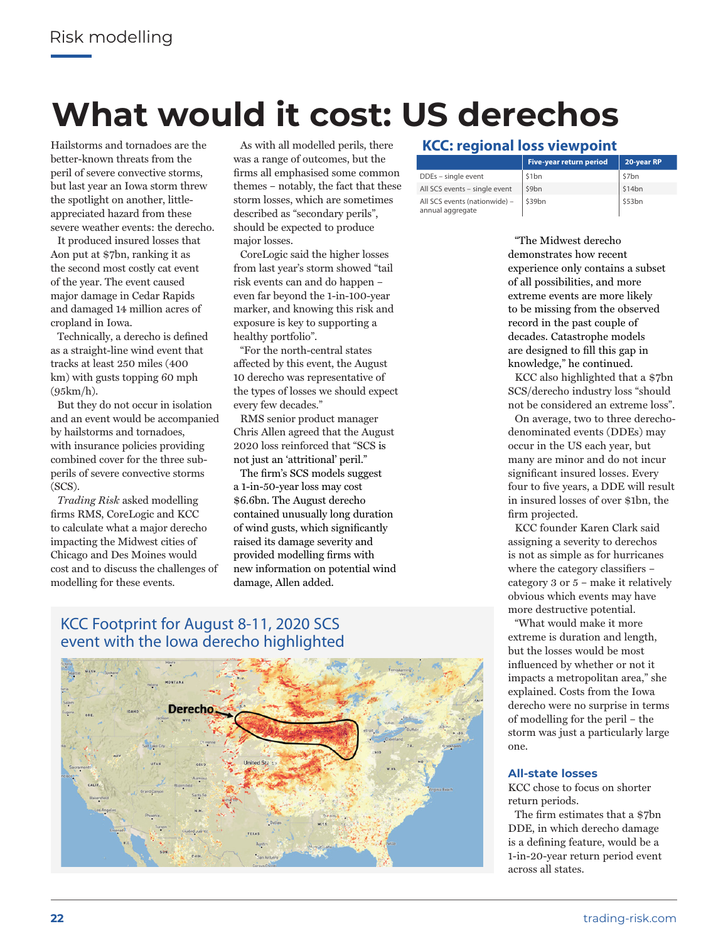# **What would it cost: US derechos**

Hailstorms and tornadoes are the better-known threats from the peril of severe convective storms, but last year an Iowa storm threw the spotlight on another, littleappreciated hazard from these severe weather events: the derecho.

It produced insured losses that Aon put at \$7bn, ranking it as the second most costly cat event of the year. The event caused major damage in Cedar Rapids and damaged 14 million acres of cropland in Iowa.

Technically, a derecho is defined as a straight-line wind event that tracks at least 250 miles (400 km) with gusts topping 60 mph (95km/h).

But they do not occur in isolation and an event would be accompanied by hailstorms and tornadoes, with insurance policies providing combined cover for the three subperils of severe convective storms (SCS).

*Trading Risk* asked modelling firms RMS, CoreLogic and KCC to calculate what a major derecho impacting the Midwest cities of Chicago and Des Moines would cost and to discuss the challenges of modelling for these events.

As with all modelled perils, there was a range of outcomes, but the firms all emphasised some common themes – notably, the fact that these storm losses, which are sometimes described as "secondary perils", should be expected to produce major losses.

CoreLogic said the higher losses from last year's storm showed "tail risk events can and do happen – even far beyond the 1-in-100-year marker, and knowing this risk and exposure is key to supporting a healthy portfolio".

"For the north-central states affected by this event, the August 10 derecho was representative of the types of losses we should expect every few decades."

RMS senior product manager Chris Allen agreed that the August 2020 loss reinforced that "SCS is not just an 'attritional' peril."

The firm's SCS models suggest a 1-in-50-year loss may cost \$6.6bn. The August derecho contained unusually long duration of wind gusts, which significantly raised its damage severity and provided modelling firms with new information on potential wind damage, Allen added.

### KCC Footprint for August 8-11, 2020 SCS event with the Iowa derecho highlighted



### **KCC: regional loss viewpoint**

|                                                   | Five-year return period | 20-year RP |
|---------------------------------------------------|-------------------------|------------|
| DDEs - single event                               | \$1bn                   | \$7bn      |
| All SCS events - single event                     | \$9bn                   | 514bn      |
| All SCS events (nationwide) -<br>annual aggregate | S39bn                   | \$53bn     |

"The Midwest derecho demonstrates how recent experience only contains a subset of all possibilities, and more extreme events are more likely to be missing from the observed record in the past couple of decades. Catastrophe models are designed to fill this gap in knowledge," he continued.

KCC also highlighted that a \$7bn SCS/derecho industry loss "should not be considered an extreme loss".

On average, two to three derechodenominated events (DDEs) may occur in the US each year, but many are minor and do not incur significant insured losses. Every four to five years, a DDE will result in insured losses of over \$1bn, the firm projected.

KCC founder Karen Clark said assigning a severity to derechos is not as simple as for hurricanes where the category classifiers – category 3 or 5 – make it relatively obvious which events may have more destructive potential.

"What would make it more extreme is duration and length, but the losses would be most influenced by whether or not it impacts a metropolitan area," she explained. Costs from the Iowa derecho were no surprise in terms of modelling for the peril – the storm was just a particularly large one.

#### **All-state losses**

KCC chose to focus on shorter return periods.

The firm estimates that a \$7bn DDE, in which derecho damage is a defining feature, would be a 1-in-20-year return period event across all states.